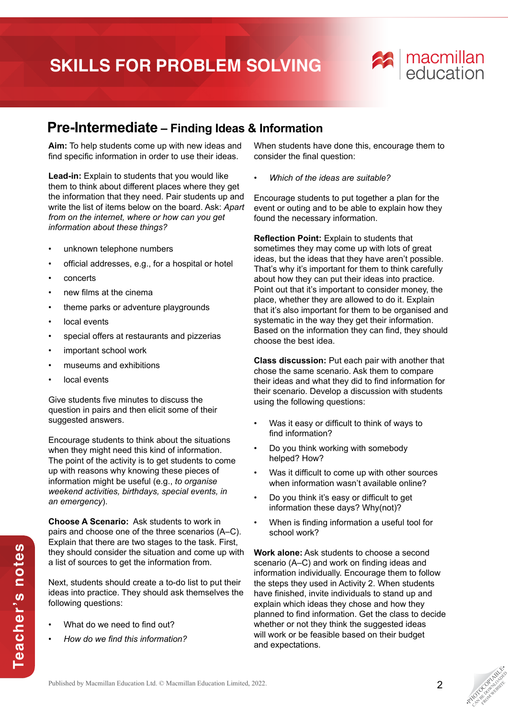## **SKILLS FOR PROBLEM SOLVING**



## **Pre-Intermediate – Finding Ideas & Information**

**Aim:** To help students come up with new ideas and find specific information in order to use their ideas.

**Lead-in:** Explain to students that you would like them to think about different places where they get the information that they need. Pair students up and write the list of items below on the board. Ask: *Apart from on the internet, where or how can you get information about these things?*

- unknown telephone numbers
- official addresses, e.g., for a hospital or hotel
- concerts
- new films at the cinema
- theme parks or adventure playgrounds
- local events
- special offers at restaurants and pizzerias
- important school work
- museums and exhibitions
- local events

Give students five minutes to discuss the question in pairs and then elicit some of their suggested answers.

Encourage students to think about the situations when they might need this kind of information. The point of the activity is to get students to come up with reasons why knowing these pieces of information might be useful (e.g., *to organise weekend activities, birthdays, special events, in an emergency*).

**Choose A Scenario:** Ask students to work in pairs and choose one of the three scenarios (A–C). Explain that there are two stages to the task. First, they should consider the situation and come up with a list of sources to get the information from.

Next, students should create a to-do list to put their ideas into practice. They should ask themselves the following questions:

What do we need to find out?

**Teacher's notes**

Teacher's notes

• *How do we find this information?*

When students have done this, encourage them to consider the final question:

• *Which of the ideas are suitable?*

Encourage students to put together a plan for the event or outing and to be able to explain how they found the necessary information.

**Reflection Point:** Explain to students that sometimes they may come up with lots of great ideas, but the ideas that they have aren't possible. That's why it's important for them to think carefully about how they can put their ideas into practice. Point out that it's important to consider money, the place, whether they are allowed to do it. Explain that it's also important for them to be organised and systematic in the way they get their information. Based on the information they can find, they should choose the best idea.

**Class discussion:** Put each pair with another that chose the same scenario. Ask them to compare their ideas and what they did to find information for their scenario. Develop a discussion with students using the following questions:

- Was it easy or difficult to think of ways to find information?
- Do you think working with somebody helped? How?
- Was it difficult to come up with other sources when information wasn't available online?
- Do you think it's easy or difficult to get information these days? Why(not)?
- When is finding information a useful tool for school work?

**Work alone:** Ask students to choose a second scenario (A–C) and work on finding ideas and information individually. Encourage them to follow the steps they used in Activity 2. When students have finished, invite individuals to stand up and explain which ideas they chose and how they planned to find information. Get the class to decide whether or not they think the suggested ideas will work or be feasible based on their budget and expectations.

**PHOTOGRAPHICATE** CAN BE DOWNLOAD FROM WEBSITE